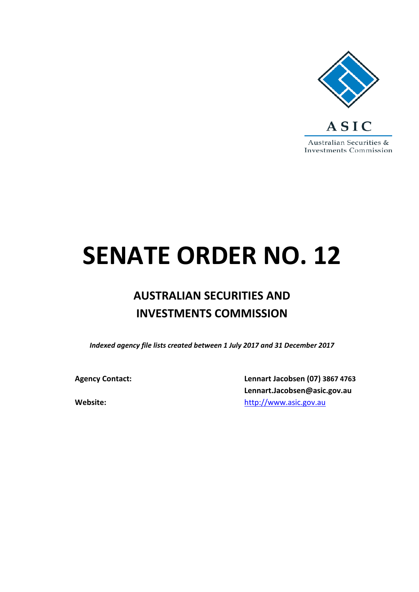

# **SENATE ORDER NO. 12**

# **AUSTRALIAN SECURITIES AND INVESTMENTS COMMISSION**

*Indexed agency file lists created between 1 July 2017 and 31 December 2017*

**Agency Contact: Lennart Jacobsen (07) 3867 4763 Lennart.Jacobsen@asic.gov.au Website:** [http://www.asic.gov.au](http://www.asic.gov.au/)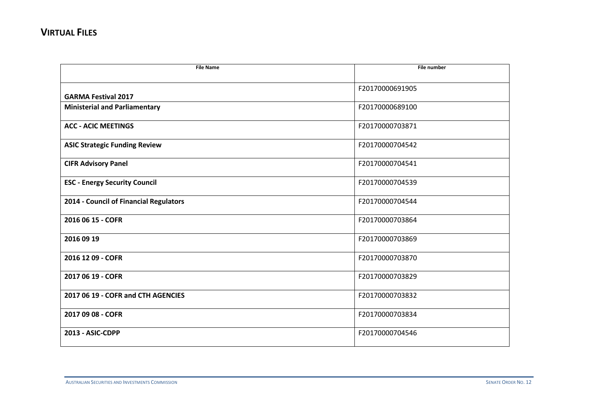| <b>File Name</b>                       | <b>File number</b> |
|----------------------------------------|--------------------|
|                                        |                    |
|                                        | F20170000691905    |
| <b>GARMA Festival 2017</b>             |                    |
| <b>Ministerial and Parliamentary</b>   | F20170000689100    |
| <b>ACC - ACIC MEETINGS</b>             | F20170000703871    |
| <b>ASIC Strategic Funding Review</b>   | F20170000704542    |
| <b>CIFR Advisory Panel</b>             | F20170000704541    |
| <b>ESC - Energy Security Council</b>   | F20170000704539    |
| 2014 - Council of Financial Regulators | F20170000704544    |
| 2016 06 15 - COFR                      | F20170000703864    |
| 2016 09 19                             | F20170000703869    |
| 2016 12 09 - COFR                      | F20170000703870    |
| 2017 06 19 - COFR                      | F20170000703829    |
| 2017 06 19 - COFR and CTH AGENCIES     | F20170000703832    |
| 2017 09 08 - COFR                      | F20170000703834    |
| 2013 - ASIC-CDPP                       | F20170000704546    |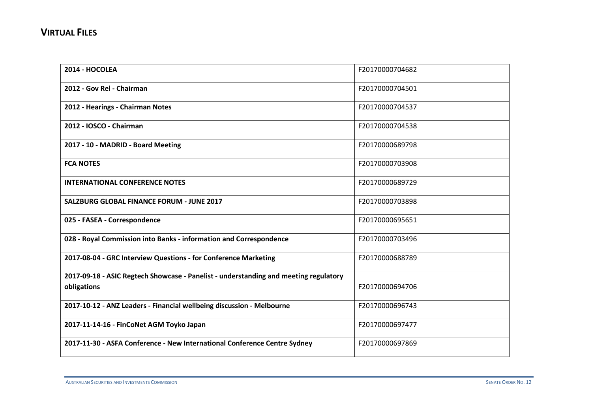| 2014 - HOCOLEA                                                                                      | F20170000704682 |
|-----------------------------------------------------------------------------------------------------|-----------------|
| 2012 - Gov Rel - Chairman                                                                           | F20170000704501 |
| 2012 - Hearings - Chairman Notes                                                                    | F20170000704537 |
| 2012 - IOSCO - Chairman                                                                             | F20170000704538 |
| 2017 - 10 - MADRID - Board Meeting                                                                  | F20170000689798 |
| <b>FCA NOTES</b>                                                                                    | F20170000703908 |
| <b>INTERNATIONAL CONFERENCE NOTES</b>                                                               | F20170000689729 |
| <b>SALZBURG GLOBAL FINANCE FORUM - JUNE 2017</b>                                                    | F20170000703898 |
| 025 - FASEA - Correspondence                                                                        | F20170000695651 |
| 028 - Royal Commission into Banks - information and Correspondence                                  | F20170000703496 |
| 2017-08-04 - GRC Interview Questions - for Conference Marketing                                     | F20170000688789 |
| 2017-09-18 - ASIC Regtech Showcase - Panelist - understanding and meeting regulatory<br>obligations | F20170000694706 |
| 2017-10-12 - ANZ Leaders - Financial wellbeing discussion - Melbourne                               | F20170000696743 |
| 2017-11-14-16 - FinCoNet AGM Toyko Japan                                                            | F20170000697477 |
| 2017-11-30 - ASFA Conference - New International Conference Centre Sydney                           | F20170000697869 |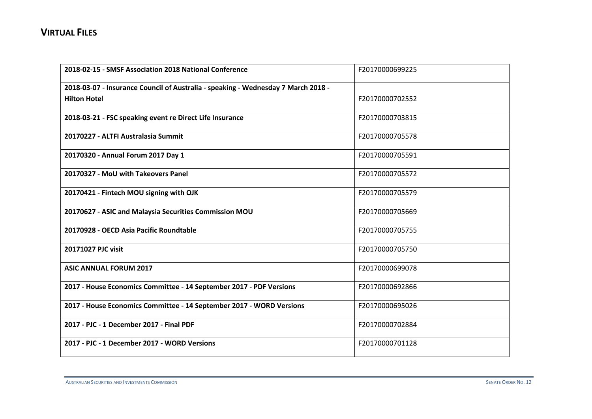| 2018-02-15 - SMSF Association 2018 National Conference                            | F20170000699225 |
|-----------------------------------------------------------------------------------|-----------------|
| 2018-03-07 - Insurance Council of Australia - speaking - Wednesday 7 March 2018 - |                 |
| <b>Hilton Hotel</b>                                                               | F20170000702552 |
| 2018-03-21 - FSC speaking event re Direct Life Insurance                          | F20170000703815 |
| 20170227 - ALTFI Australasia Summit                                               | F20170000705578 |
| 20170320 - Annual Forum 2017 Day 1                                                | F20170000705591 |
| 20170327 - MoU with Takeovers Panel                                               | F20170000705572 |
| 20170421 - Fintech MOU signing with OJK                                           | F20170000705579 |
| 20170627 - ASIC and Malaysia Securities Commission MOU                            | F20170000705669 |
| 20170928 - OECD Asia Pacific Roundtable                                           | F20170000705755 |
| 20171027 PJC visit                                                                | F20170000705750 |
| <b>ASIC ANNUAL FORUM 2017</b>                                                     | F20170000699078 |
| 2017 - House Economics Committee - 14 September 2017 - PDF Versions               | F20170000692866 |
| 2017 - House Economics Committee - 14 September 2017 - WORD Versions              | F20170000695026 |
| 2017 - PJC - 1 December 2017 - Final PDF                                          | F20170000702884 |
| 2017 - PJC - 1 December 2017 - WORD Versions                                      | F20170000701128 |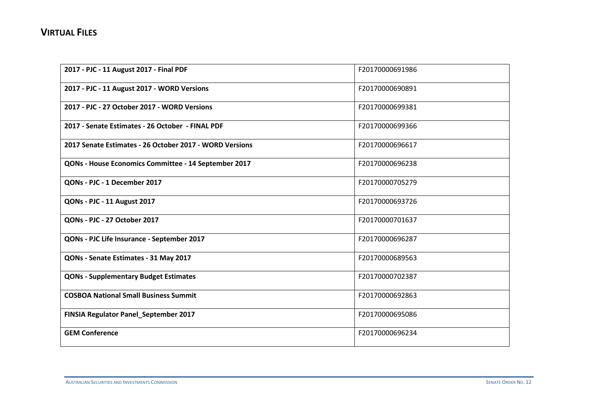| 2017 - PJC - 11 August 2017 - Final PDF                 | F20170000691986 |
|---------------------------------------------------------|-----------------|
| 2017 - PJC - 11 August 2017 - WORD Versions             | F20170000690891 |
| 2017 - PJC - 27 October 2017 - WORD Versions            | F20170000699381 |
| 2017 - Senate Estimates - 26 October - FINAL PDF        | F20170000699366 |
| 2017 Senate Estimates - 26 October 2017 - WORD Versions | F20170000696617 |
| QONs - House Economics Committee - 14 September 2017    | F20170000696238 |
| QONs - PJC - 1 December 2017                            | F20170000705279 |
| <b>QONs - PJC - 11 August 2017</b>                      | F20170000693726 |
| QONs - PJC - 27 October 2017                            | F20170000701637 |
| QONs - PJC Life Insurance - September 2017              | F20170000696287 |
| QONs - Senate Estimates - 31 May 2017                   | F20170000689563 |
| <b>QONs - Supplementary Budget Estimates</b>            | F20170000702387 |
| <b>COSBOA National Small Business Summit</b>            | F20170000692863 |
| FINSIA Regulator Panel_September 2017                   | F20170000695086 |
| <b>GEM Conference</b>                                   | F20170000696234 |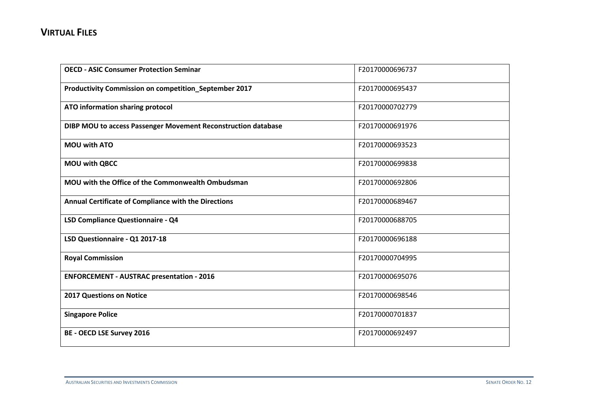| <b>OECD - ASIC Consumer Protection Seminar</b>                | F20170000696737 |
|---------------------------------------------------------------|-----------------|
| Productivity Commission on competition_September 2017         | F20170000695437 |
| ATO information sharing protocol                              | F20170000702779 |
| DIBP MOU to access Passenger Movement Reconstruction database | F20170000691976 |
| <b>MOU with ATO</b>                                           | F20170000693523 |
| <b>MOU with QBCC</b>                                          | F20170000699838 |
| MOU with the Office of the Commonwealth Ombudsman             | F20170000692806 |
| Annual Certificate of Compliance with the Directions          | F20170000689467 |
| LSD Compliance Questionnaire - Q4                             | F20170000688705 |
| LSD Questionnaire - Q1 2017-18                                | F20170000696188 |
| <b>Royal Commission</b>                                       | F20170000704995 |
| <b>ENFORCEMENT - AUSTRAC presentation - 2016</b>              | F20170000695076 |
| <b>2017 Questions on Notice</b>                               | F20170000698546 |
| <b>Singapore Police</b>                                       | F20170000701837 |
| <b>BE - OECD LSE Survey 2016</b>                              | F20170000692497 |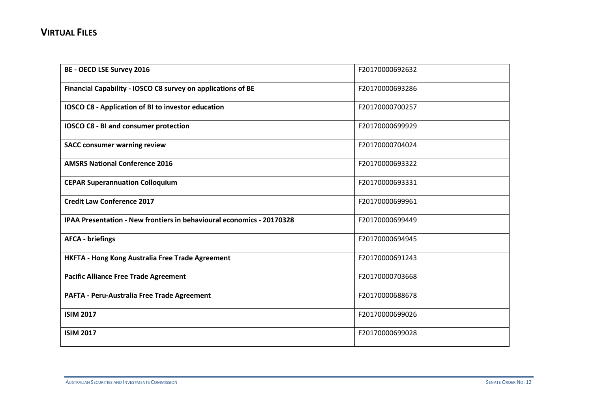| <b>BE - OECD LSE Survey 2016</b>                                      | F20170000692632 |
|-----------------------------------------------------------------------|-----------------|
| Financial Capability - IOSCO C8 survey on applications of BE          | F20170000693286 |
| IOSCO C8 - Application of BI to investor education                    | F20170000700257 |
| IOSCO C8 - BI and consumer protection                                 | F20170000699929 |
| <b>SACC consumer warning review</b>                                   | F20170000704024 |
| <b>AMSRS National Conference 2016</b>                                 | F20170000693322 |
| <b>CEPAR Superannuation Colloquium</b>                                | F20170000693331 |
| <b>Credit Law Conference 2017</b>                                     | F20170000699961 |
| IPAA Presentation - New frontiers in behavioural economics - 20170328 | F20170000699449 |
| <b>AFCA - briefings</b>                                               | F20170000694945 |
| HKFTA - Hong Kong Australia Free Trade Agreement                      | F20170000691243 |
| <b>Pacific Alliance Free Trade Agreement</b>                          | F20170000703668 |
| PAFTA - Peru-Australia Free Trade Agreement                           | F20170000688678 |
| <b>ISIM 2017</b>                                                      | F20170000699026 |
| <b>ISIM 2017</b>                                                      | F20170000699028 |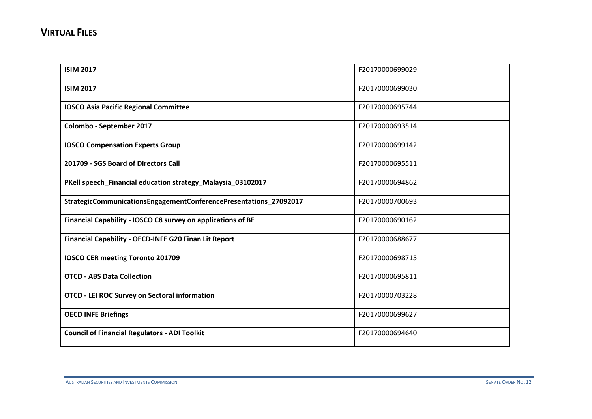| <b>ISIM 2017</b>                                                  | F20170000699029 |
|-------------------------------------------------------------------|-----------------|
| <b>ISIM 2017</b>                                                  | F20170000699030 |
| <b>IOSCO Asia Pacific Regional Committee</b>                      | F20170000695744 |
| Colombo - September 2017                                          | F20170000693514 |
| <b>IOSCO Compensation Experts Group</b>                           | F20170000699142 |
| 201709 - SGS Board of Directors Call                              | F20170000695511 |
| PKell speech_Financial education strategy_Malaysia_03102017       | F20170000694862 |
| StrategicCommunicationsEngagementConferencePresentations_27092017 | F20170000700693 |
| Financial Capability - IOSCO C8 survey on applications of BE      | F20170000690162 |
| <b>Financial Capability - OECD-INFE G20 Finan Lit Report</b>      | F20170000688677 |
| IOSCO CER meeting Toronto 201709                                  | F20170000698715 |
| <b>OTCD - ABS Data Collection</b>                                 | F20170000695811 |
| <b>OTCD - LEI ROC Survey on Sectoral information</b>              | F20170000703228 |
| <b>OECD INFE Briefings</b>                                        | F20170000699627 |
| <b>Council of Financial Regulators - ADI Toolkit</b>              | F20170000694640 |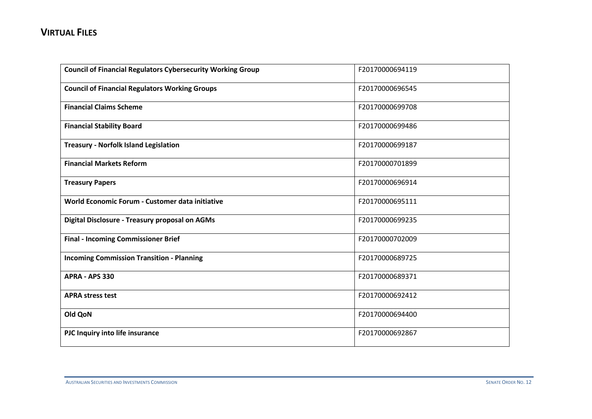| <b>Council of Financial Regulators Cybersecurity Working Group</b> | F20170000694119 |
|--------------------------------------------------------------------|-----------------|
| <b>Council of Financial Regulators Working Groups</b>              | F20170000696545 |
| <b>Financial Claims Scheme</b>                                     | F20170000699708 |
| <b>Financial Stability Board</b>                                   | F20170000699486 |
| <b>Treasury - Norfolk Island Legislation</b>                       | F20170000699187 |
| <b>Financial Markets Reform</b>                                    | F20170000701899 |
| <b>Treasury Papers</b>                                             | F20170000696914 |
| World Economic Forum - Customer data initiative                    | F20170000695111 |
| Digital Disclosure - Treasury proposal on AGMs                     | F20170000699235 |
| <b>Final - Incoming Commissioner Brief</b>                         | F20170000702009 |
| <b>Incoming Commission Transition - Planning</b>                   | F20170000689725 |
| APRA - APS 330                                                     | F20170000689371 |
| <b>APRA stress test</b>                                            | F20170000692412 |
| Old QoN                                                            | F20170000694400 |
| PJC Inquiry into life insurance                                    | F20170000692867 |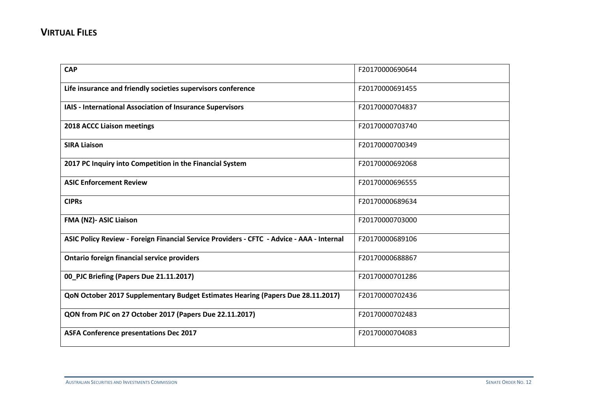| <b>CAP</b>                                                                                | F20170000690644 |
|-------------------------------------------------------------------------------------------|-----------------|
| Life insurance and friendly societies supervisors conference                              | F20170000691455 |
| IAIS - International Association of Insurance Supervisors                                 | F20170000704837 |
| <b>2018 ACCC Liaison meetings</b>                                                         | F20170000703740 |
| <b>SIRA Liaison</b>                                                                       | F20170000700349 |
| 2017 PC Inquiry into Competition in the Financial System                                  | F20170000692068 |
| <b>ASIC Enforcement Review</b>                                                            | F20170000696555 |
| <b>CIPRs</b>                                                                              | F20170000689634 |
| FMA (NZ)- ASIC Liaison                                                                    | F20170000703000 |
| ASIC Policy Review - Foreign Financial Service Providers - CFTC - Advice - AAA - Internal | F20170000689106 |
| <b>Ontario foreign financial service providers</b>                                        | F20170000688867 |
| 00_PJC Briefing (Papers Due 21.11.2017)                                                   | F20170000701286 |
| QoN October 2017 Supplementary Budget Estimates Hearing (Papers Due 28.11.2017)           | F20170000702436 |
| QON from PJC on 27 October 2017 (Papers Due 22.11.2017)                                   | F20170000702483 |
| <b>ASFA Conference presentations Dec 2017</b>                                             | F20170000704083 |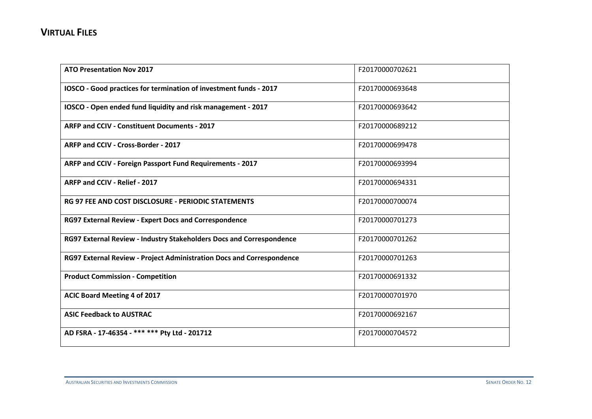| <b>ATO Presentation Nov 2017</b>                                      | F20170000702621 |
|-----------------------------------------------------------------------|-----------------|
| IOSCO - Good practices for termination of investment funds - 2017     | F20170000693648 |
| IOSCO - Open ended fund liquidity and risk management - 2017          | F20170000693642 |
| ARFP and CCIV - Constituent Documents - 2017                          | F20170000689212 |
| ARFP and CCIV - Cross-Border - 2017                                   | F20170000699478 |
| ARFP and CCIV - Foreign Passport Fund Requirements - 2017             | F20170000693994 |
| ARFP and CCIV - Relief - 2017                                         | F20170000694331 |
| <b>RG 97 FEE AND COST DISCLOSURE - PERIODIC STATEMENTS</b>            | F20170000700074 |
| <b>RG97 External Review - Expert Docs and Correspondence</b>          | F20170000701273 |
| RG97 External Review - Industry Stakeholders Docs and Correspondence  | F20170000701262 |
| RG97 External Review - Project Administration Docs and Correspondence | F20170000701263 |
| <b>Product Commission - Competition</b>                               | F20170000691332 |
| ACIC Board Meeting 4 of 2017                                          | F20170000701970 |
| <b>ASIC Feedback to AUSTRAC</b>                                       | F20170000692167 |
| AD FSRA - 17-46354 - *** *** Pty Ltd - 201712                         | F20170000704572 |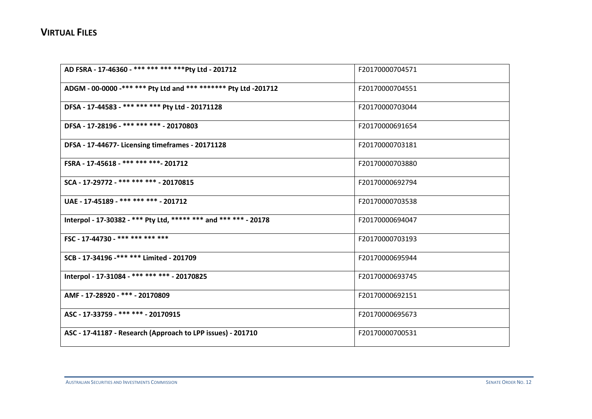| AD FSRA - 17-46360 - *** *** *** *** Pty Ltd - 201712            | F20170000704571 |
|------------------------------------------------------------------|-----------------|
| ADGM - 00-0000 -*** *** Pty Ltd and *** ******* Pty Ltd -201712  | F20170000704551 |
| DFSA - 17-44583 - *** *** *** Pty Ltd - 20171128                 | F20170000703044 |
| DFSA - 17-28196 - *** *** *** - 20170803                         | F20170000691654 |
| DFSA - 17-44677- Licensing timeframes - 20171128                 | F20170000703181 |
| FSRA - 17-45618 - *** *** *** - 201712                           | F20170000703880 |
| SCA - 17-29772 - *** *** *** - 20170815                          | F20170000692794 |
| UAE - 17-45189 - *** *** *** - 201712                            | F20170000703538 |
| Interpol - 17-30382 - *** Pty Ltd, ***** *** and *** *** - 20178 | F20170000694047 |
| FSC - 17-44730 - *** *** *** ***                                 | F20170000703193 |
| SCB - 17-34196 -*** *** Limited - 201709                         | F20170000695944 |
| Interpol - 17-31084 - *** *** *** - 20170825                     | F20170000693745 |
| AMF - 17-28920 - *** - 20170809                                  | F20170000692151 |
| ASC - 17-33759 - *** *** - 20170915                              | F20170000695673 |
| ASC - 17-41187 - Research (Approach to LPP issues) - 201710      | F20170000700531 |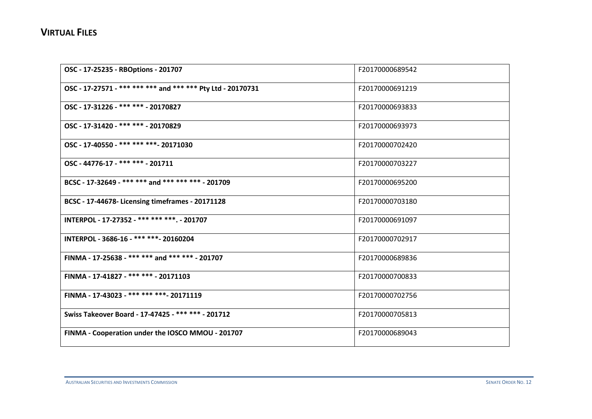| OSC - 17-25235 - RBOptions - 201707                         | F20170000689542 |
|-------------------------------------------------------------|-----------------|
| OSC - 17-27571 - *** *** *** and *** *** Pty Ltd - 20170731 | F20170000691219 |
| OSC - 17-31226 - *** *** - 20170827                         | F20170000693833 |
| OSC - 17-31420 - *** *** - 20170829                         | F20170000693973 |
| OSC - 17-40550 - *** *** *** - 20171030                     | F20170000702420 |
| OSC - 44776-17 - *** *** - 201711                           | F20170000703227 |
| BCSC - 17-32649 - *** *** and *** *** *** - 201709          | F20170000695200 |
| BCSC - 17-44678- Licensing timeframes - 20171128            | F20170000703180 |
| INTERPOL - 17-27352 - *** *** ***. - 201707                 | F20170000691097 |
| INTERPOL - 3686-16 - *** ***- 20160204                      | F20170000702917 |
| FINMA - 17-25638 - *** *** and *** *** - 201707             | F20170000689836 |
| FINMA - 17-41827 - *** *** - 20171103                       | F20170000700833 |
| FINMA - 17-43023 - *** *** *** - 20171119                   | F20170000702756 |
| Swiss Takeover Board - 17-47425 - *** *** - 201712          | F20170000705813 |
| FINMA - Cooperation under the IOSCO MMOU - 201707           | F20170000689043 |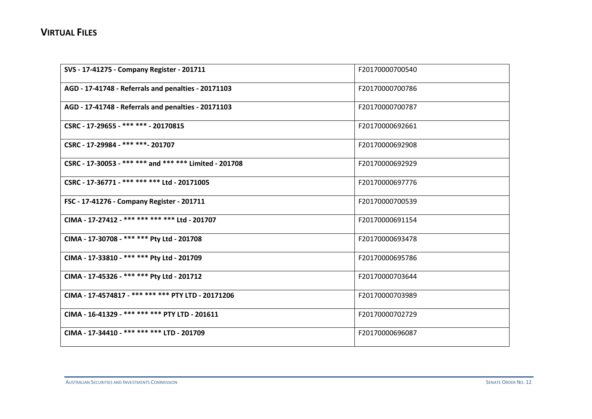| SVS - 17-41275 - Company Register - 201711             | F20170000700540 |
|--------------------------------------------------------|-----------------|
| AGD - 17-41748 - Referrals and penalties - 20171103    | F20170000700786 |
| AGD - 17-41748 - Referrals and penalties - 20171103    | F20170000700787 |
| CSRC - 17-29655 - *** *** - 20170815                   | F20170000692661 |
| CSRC - 17-29984 - *** ***- 201707                      | F20170000692908 |
| CSRC - 17-30053 - *** *** and *** *** Limited - 201708 | F20170000692929 |
| CSRC - 17-36771 - *** *** *** Ltd - 20171005           | F20170000697776 |
| FSC - 17-41276 - Company Register - 201711             | F20170000700539 |
| CIMA - 17-27412 - *** *** *** *** Ltd - 201707         | F20170000691154 |
| CIMA - 17-30708 - *** *** Pty Ltd - 201708             | F20170000693478 |
| CIMA - 17-33810 - *** *** Pty Ltd - 201709             | F20170000695786 |
| CIMA - 17-45326 - *** *** Pty Ltd - 201712             | F20170000703644 |
| CIMA - 17-4574817 - *** *** *** PTY LTD - 20171206     | F20170000703989 |
| CIMA - 16-41329 - *** *** *** PTY LTD - 201611         | F20170000702729 |
| CIMA - 17-34410 - *** *** *** LTD - 201709             | F20170000696087 |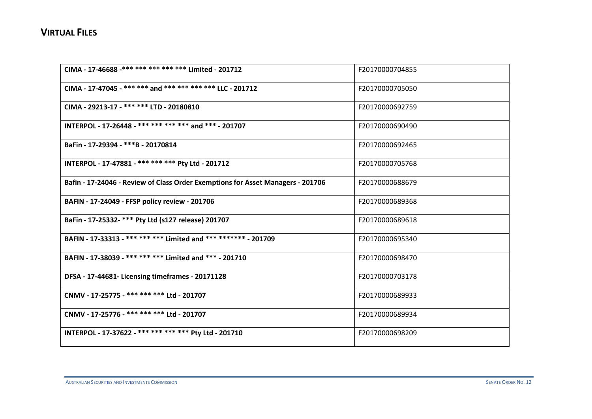| CIMA - 17-46688 -*** *** *** *** *** Limited - 201712                           | F20170000704855 |
|---------------------------------------------------------------------------------|-----------------|
| CIMA - 17-47045 - *** *** and *** *** *** *** LLC - 201712                      | F20170000705050 |
| CIMA - 29213-17 - *** *** LTD - 20180810                                        | F20170000692759 |
| INTERPOL - 17-26448 - *** *** *** *** and *** - 201707                          | F20170000690490 |
| BaFin - 17-29394 - ***B - 20170814                                              | F20170000692465 |
| INTERPOL - 17-47881 - *** *** *** Pty Ltd - 201712                              | F20170000705768 |
| Bafin - 17-24046 - Review of Class Order Exemptions for Asset Managers - 201706 | F20170000688679 |
| BAFIN - 17-24049 - FFSP policy review - 201706                                  | F20170000689368 |
| BaFin - 17-25332- *** Pty Ltd (s127 release) 201707                             | F20170000689618 |
| BAFIN - 17-33313 - *** *** *** Limited and *** ******* - 201709                 | F20170000695340 |
| BAFIN - 17-38039 - *** *** *** Limited and *** - 201710                         | F20170000698470 |
| DFSA - 17-44681- Licensing timeframes - 20171128                                | F20170000703178 |
| CNMV - 17-25775 - *** *** *** Ltd - 201707                                      | F20170000689933 |
| CNMV - 17-25776 - *** *** *** Ltd - 201707                                      | F20170000689934 |
| INTERPOL - 17-37622 - *** *** *** *** Pty Ltd - 201710                          | F20170000698209 |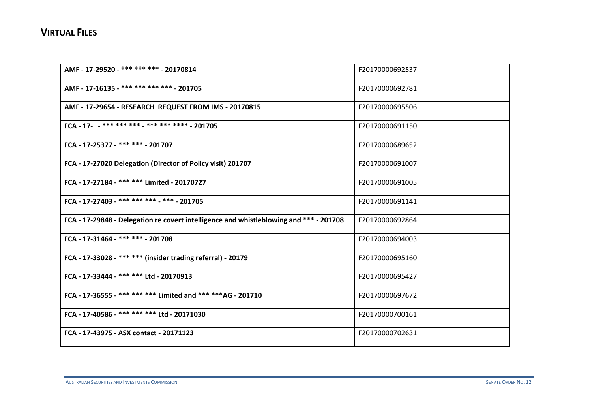| AMF - 17-29520 - *** *** *** - 20170814                                                | F20170000692537 |
|----------------------------------------------------------------------------------------|-----------------|
| AMF - 17-16135 - *** *** *** *** - 201705                                              | F20170000692781 |
| AMF - 17-29654 - RESEARCH REQUEST FROM IMS - 20170815                                  | F20170000695506 |
| FCA - 17- - *** *** *** - *** *** **** - 201705                                        | F20170000691150 |
| FCA - 17-25377 - *** *** - 201707                                                      | F20170000689652 |
| FCA - 17-27020 Delegation (Director of Policy visit) 201707                            | F20170000691007 |
| FCA - 17-27184 - *** *** Limited - 20170727                                            | F20170000691005 |
| FCA - 17-27403 - *** *** *** - *** - 201705                                            | F20170000691141 |
| FCA - 17-29848 - Delegation re covert intelligence and whistleblowing and *** - 201708 | F20170000692864 |
| FCA - 17-31464 - *** *** - 201708                                                      | F20170000694003 |
| FCA - 17-33028 - *** *** (insider trading referral) - 20179                            | F20170000695160 |
| FCA - 17-33444 - *** *** Ltd - 20170913                                                | F20170000695427 |
| FCA - 17-36555 - *** *** *** Limited and *** *** AG - 201710                           | F20170000697672 |
| FCA - 17-40586 - *** *** *** Ltd - 20171030                                            | F20170000700161 |
| FCA - 17-43975 - ASX contact - 20171123                                                | F20170000702631 |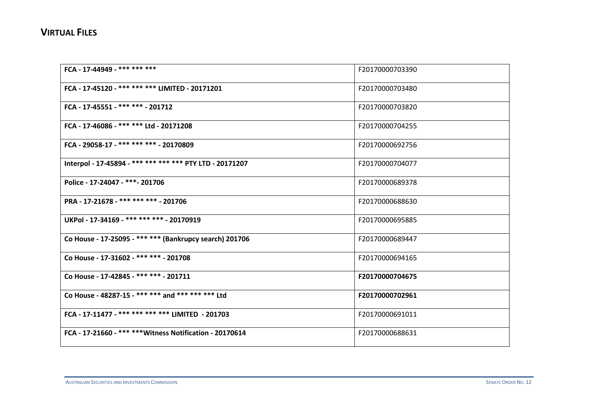| FCA - 17-44949 - *** *** ***                             | F20170000703390 |
|----------------------------------------------------------|-----------------|
| FCA - 17-45120 - *** *** *** LIMITED - 20171201          | F20170000703480 |
| FCA - 17-45551 - *** *** - 201712                        | F20170000703820 |
| FCA - 17-46086 - *** *** Ltd - 20171208                  | F20170000704255 |
| FCA - 29058-17 - *** *** *** - 20170809                  | F20170000692756 |
| Interpol - 17-45894 - *** *** *** *** PTY LTD - 20171207 | F20170000704077 |
| Police - 17-24047 - ***- 201706                          | F20170000689378 |
| PRA - 17-21678 - *** *** *** - 201706                    | F20170000688630 |
| UKPol - 17-34169 - *** *** *** - 20170919                | F20170000695885 |
| Co House - 17-25095 - *** *** (Bankrupcy search) 201706  | F20170000689447 |
| Co House - 17-31602 - *** *** - 201708                   | F20170000694165 |
| Co House - 17-42845 - *** *** - 201711                   | F20170000704675 |
| Co House - 48287-15 - *** *** and *** *** *** Ltd        | F20170000702961 |
| FCA - 17-11477 - *** *** *** *** LIMITED - 201703        | F20170000691011 |
| FCA - 17-21660 - *** *** Witness Notification - 20170614 | F20170000688631 |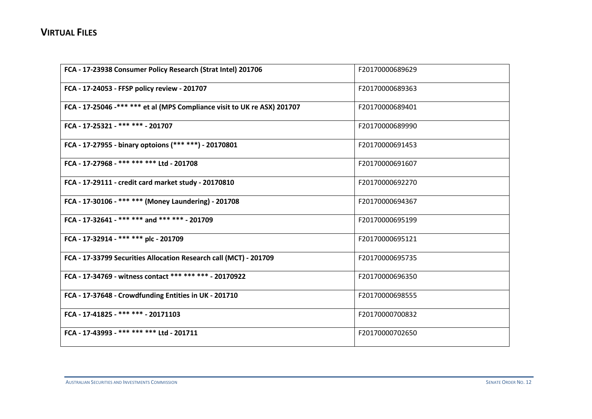| FCA - 17-23938 Consumer Policy Research (Strat Intel) 201706             | F20170000689629 |
|--------------------------------------------------------------------------|-----------------|
| FCA - 17-24053 - FFSP policy review - 201707                             | F20170000689363 |
| FCA - 17-25046 -*** *** et al (MPS Compliance visit to UK re ASX) 201707 | F20170000689401 |
| FCA - 17-25321 - *** *** - 201707                                        | F20170000689990 |
| FCA - 17-27955 - binary optoions (*** ***) - 20170801                    | F20170000691453 |
| FCA - 17-27968 - *** *** *** Ltd - 201708                                | F20170000691607 |
| FCA - 17-29111 - credit card market study - 20170810                     | F20170000692270 |
| FCA - 17-30106 - *** *** (Money Laundering) - 201708                     | F20170000694367 |
| FCA - 17-32641 - *** *** and *** *** - 201709                            | F20170000695199 |
| FCA - 17-32914 - *** *** plc - 201709                                    | F20170000695121 |
| FCA - 17-33799 Securities Allocation Research call (MCT) - 201709        | F20170000695735 |
| FCA - 17-34769 - witness contact *** *** *** - 20170922                  | F20170000696350 |
| FCA - 17-37648 - Crowdfunding Entities in UK - 201710                    | F20170000698555 |
| FCA - 17-41825 - *** *** - 20171103                                      | F20170000700832 |
| FCA - 17-43993 - *** *** *** Ltd - 201711                                | F20170000702650 |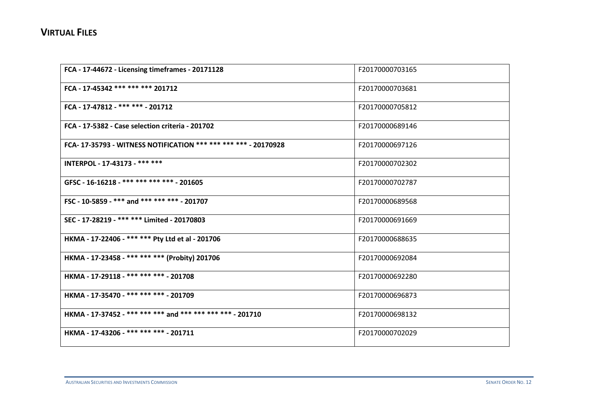| FCA - 17-44672 - Licensing timeframes - 20171128               | F20170000703165 |
|----------------------------------------------------------------|-----------------|
| FCA - 17-45342 *** *** *** 201712                              | F20170000703681 |
| FCA - 17-47812 - *** *** - 201712                              | F20170000705812 |
| FCA - 17-5382 - Case selection criteria - 201702               | F20170000689146 |
| FCA-17-35793 - WITNESS NOTIFICATION *** *** *** *** - 20170928 | F20170000697126 |
| INTERPOL - 17-43173 - *** ***                                  | F20170000702302 |
| GFSC - 16-16218 - *** *** *** *** - 201605                     | F20170000702787 |
| FSC - 10-5859 - *** and *** *** *** - 201707                   | F20170000689568 |
| SEC - 17-28219 - *** *** Limited - 20170803                    | F20170000691669 |
| HKMA - 17-22406 - *** *** Pty Ltd et al - 201706               | F20170000688635 |
| HKMA - 17-23458 - *** *** *** (Probity) 201706                 | F20170000692084 |
| HKMA - 17-29118 - *** *** *** - 201708                         | F20170000692280 |
| HKMA - 17-35470 - *** *** *** - 201709                         | F20170000696873 |
| HKMA - 17-37452 - *** *** *** and *** *** *** *** - 201710     | F20170000698132 |
| HKMA - 17-43206 - *** *** *** - 201711                         | F20170000702029 |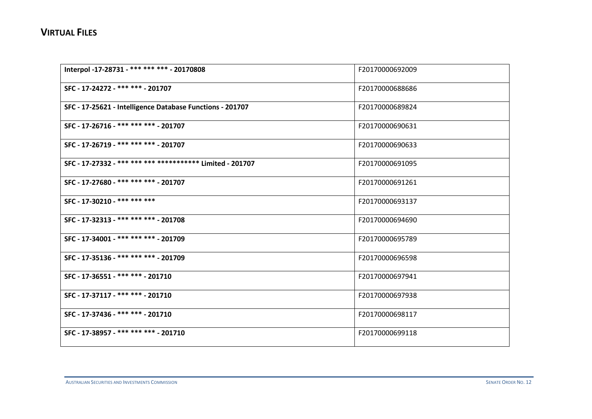| Interpol -17-28731 - *** *** *** - 20170808                | F20170000692009 |
|------------------------------------------------------------|-----------------|
| SFC - 17-24272 - *** *** - 201707                          | F20170000688686 |
| SFC - 17-25621 - Intelligence Database Functions - 201707  | F20170000689824 |
| SFC - 17-26716 - *** *** *** - 201707                      | F20170000690631 |
| SFC - 17-26719 - *** *** *** - 201707                      | F20170000690633 |
| SFC - 17-27332 - *** *** *** ************ Limited - 201707 | F20170000691095 |
| SFC - 17-27680 - *** *** *** - 201707                      | F20170000691261 |
| SFC - 17-30210 - *** *** ***                               | F20170000693137 |
| SFC - 17-32313 - *** *** *** - 201708                      | F20170000694690 |
| SFC - 17-34001 - *** *** *** - 201709                      | F20170000695789 |
| SFC - 17-35136 - *** *** *** - 201709                      | F20170000696598 |
| SFC - 17-36551 - *** *** - 201710                          | F20170000697941 |
| SFC - 17-37117 - *** *** - 201710                          | F20170000697938 |
| SFC - 17-37436 - *** *** - 201710                          | F20170000698117 |
| SFC - 17-38957 - *** *** *** - 201710                      | F20170000699118 |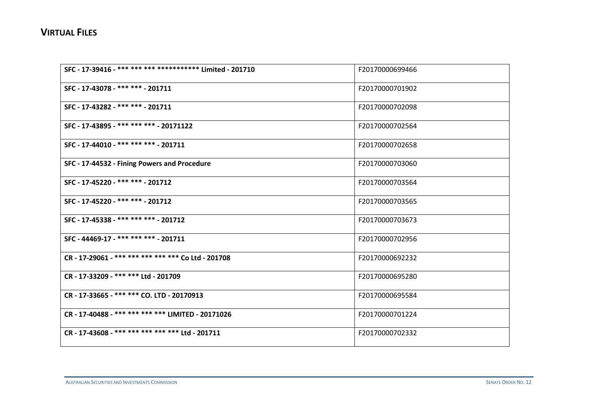| SFC - 17-39416 - *** *** *** ************ Limited - 201710 | F20170000699466 |
|------------------------------------------------------------|-----------------|
| SFC - 17-43078 - *** *** - 201711                          | F20170000701902 |
| SFC - 17-43282 - *** *** - 201711                          | F20170000702098 |
| SFC - 17-43895 - *** *** *** - 20171122                    | F20170000702564 |
| SFC - 17-44010 - *** *** *** - 201711                      | F20170000702658 |
| SFC - 17-44532 - Fining Powers and Procedure               | F20170000703060 |
| SFC - 17-45220 - *** *** - 201712                          | F20170000703564 |
| SFC - 17-45220 - *** *** - 201712                          | F20170000703565 |
| SFC - 17-45338 - *** *** *** - 201712                      | F20170000703673 |
| SFC - 44469-17 - *** *** *** - 201711                      | F20170000702956 |
| CR - 17-29061 - *** *** *** *** *** Co Ltd - 201708        | F20170000692232 |
| CR - 17-33209 - *** *** Ltd - 201709                       | F20170000695280 |
| CR-17-33665-******* CO. LTD-20170913                       | F20170000695584 |
| CR - 17-40488 - *** *** *** *** LIMITED - 20171026         | F20170000701224 |
| CR - 17-43608 - *** *** *** *** *** Ltd - 201711           | F20170000702332 |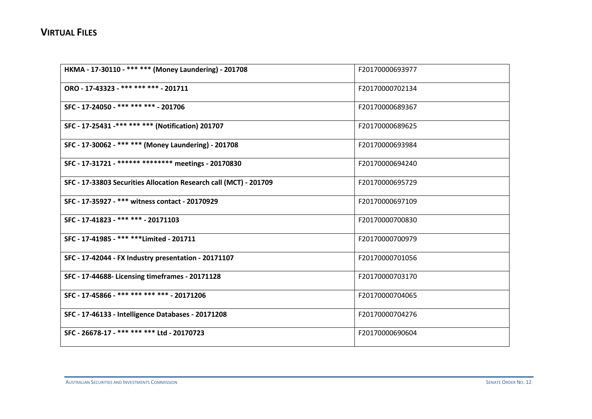| HKMA - 17-30110 - *** *** (Money Laundering) - 201708             | F20170000693977 |
|-------------------------------------------------------------------|-----------------|
| ORO - 17-43323 - *** *** *** - 201711                             | F20170000702134 |
| SFC - 17-24050 - *** *** *** - 201706                             | F20170000689367 |
| SFC - 17-25431 -*** *** *** (Notification) 201707                 | F20170000689625 |
| SFC - 17-30062 - *** *** (Money Laundering) - 201708              | F20170000693984 |
| SFC - 17-31721 - ****** ******** meetings - 20170830              | F20170000694240 |
| SFC - 17-33803 Securities Allocation Research call (MCT) - 201709 | F20170000695729 |
| SFC - 17-35927 - *** witness contact - 20170929                   | F20170000697109 |
| SFC - 17-41823 - *** *** - 20171103                               | F20170000700830 |
| SFC - 17-41985 - *** **** Limited - 201711                        | F20170000700979 |
| SFC - 17-42044 - FX Industry presentation - 20171107              | F20170000701056 |
| SFC - 17-44688- Licensing timeframes - 20171128                   | F20170000703170 |
| SFC - 17-45866 - *** *** *** *** - 20171206                       | F20170000704065 |
| SFC - 17-46133 - Intelligence Databases - 20171208                | F20170000704276 |
| SFC - 26678-17 - *** *** *** Ltd - 20170723                       | F20170000690604 |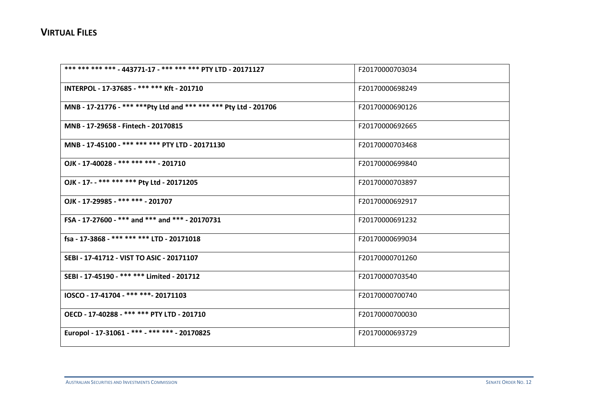| *** *** *** *** - 443771-17 - *** *** *** PTY LTD - 20171127      | F20170000703034 |
|-------------------------------------------------------------------|-----------------|
| INTERPOL - 17-37685 - *** *** Kft - 201710                        | F20170000698249 |
| MNB - 17-21776 - *** *** Pty Ltd and *** *** *** Pty Ltd - 201706 | F20170000690126 |
| MNB - 17-29658 - Fintech - 20170815                               | F20170000692665 |
| MNB - 17-45100 - *** *** *** PTY LTD - 20171130                   | F20170000703468 |
| OJK - 17-40028 - *** *** *** - 201710                             | F20170000699840 |
| OJK - 17- - *** *** *** Pty Ltd - 20171205                        | F20170000703897 |
| OJK - 17-29985 - *** *** - 201707                                 | F20170000692917 |
| FSA - 17-27600 - *** and *** and *** - 20170731                   | F20170000691232 |
| fsa - 17-3868 - *** *** *** LTD - 20171018                        | F20170000699034 |
| SEBI - 17-41712 - VIST TO ASIC - 20171107                         | F20170000701260 |
| SEBI - 17-45190 - *** *** Limited - 201712                        | F20170000703540 |
| IOSCO - 17-41704 - *** ***- 20171103                              | F20170000700740 |
| OECD - 17-40288 - *** *** PTY LTD - 201710                        | F20170000700030 |
| Europol - 17-31061 - *** - *** *** - 20170825                     | F20170000693729 |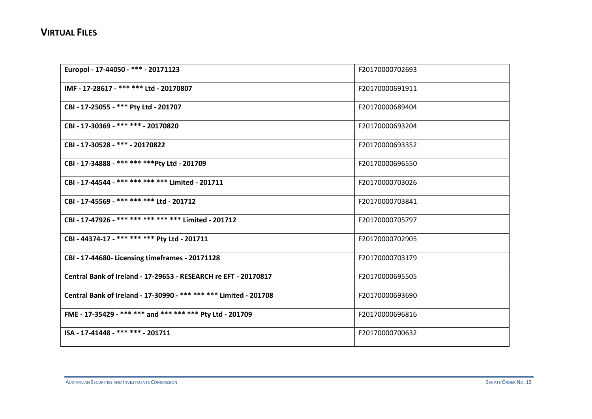| Europol - 17-44050 - *** - 20171123                               | F20170000702693 |
|-------------------------------------------------------------------|-----------------|
| IMF - 17-28617 - *** *** Ltd - 20170807                           | F20170000691911 |
| CBI - 17-25055 - *** Pty Ltd - 201707                             | F20170000689404 |
| CBI - 17-30369 - *** *** - 20170820                               | F20170000693204 |
| CBI - 17-30528 - *** - 20170822                                   | F20170000693352 |
| CBI - 17-34888 - *** *** *** Pty Ltd - 201709                     | F20170000696550 |
| CBI - 17-44544 - *** *** *** *** Limited - 201711                 | F20170000703026 |
| CBI - 17-45569 - *** *** *** Ltd - 201712                         | F20170000703841 |
| CBI - 17-47926 - *** *** *** *** *** Limited - 201712             | F20170000705797 |
| CBI - 44374-17 - *** *** *** Pty Ltd - 201711                     | F20170000702905 |
| CBI - 17-44680- Licensing timeframes - 20171128                   | F20170000703179 |
| Central Bank of Ireland - 17-29653 - RESEARCH re EFT - 20170817   | F20170000695505 |
| Central Bank of Ireland - 17-30990 - *** *** *** Limited - 201708 | F20170000693690 |
| FME - 17-35429 - *** *** and *** *** *** Pty Ltd - 201709         | F20170000696816 |
| ISA - 17-41448 - *** *** - 201711                                 | F20170000700632 |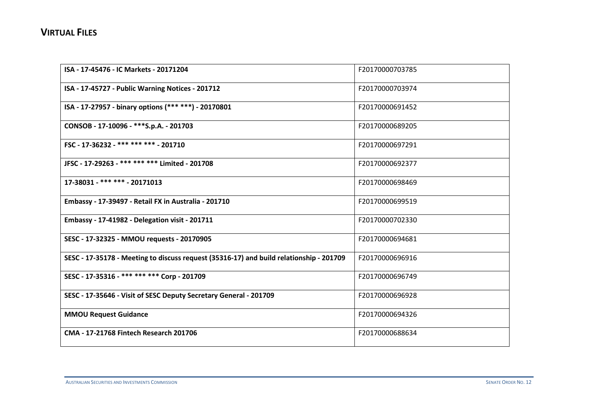| ISA - 17-45476 - IC Markets - 20171204                                                  | F20170000703785 |
|-----------------------------------------------------------------------------------------|-----------------|
| ISA - 17-45727 - Public Warning Notices - 201712                                        | F20170000703974 |
| ISA - 17-27957 - binary options (*** ***) - 20170801                                    | F20170000691452 |
| CONSOB - 17-10096 - *** S.p.A. - 201703                                                 | F20170000689205 |
| FSC - 17-36232 - *** *** *** - 201710                                                   | F20170000697291 |
| JFSC - 17-29263 - *** *** *** Limited - 201708                                          | F20170000692377 |
| 17-38031 - *** *** - 20171013                                                           | F20170000698469 |
| Embassy - 17-39497 - Retail FX in Australia - 201710                                    | F20170000699519 |
| <b>Embassy - 17-41982 - Delegation visit - 201711</b>                                   | F20170000702330 |
| SESC - 17-32325 - MMOU requests - 20170905                                              | F20170000694681 |
| SESC - 17-35178 - Meeting to discuss request (35316-17) and build relationship - 201709 | F20170000696916 |
| SESC - 17-35316 - *** *** *** Corp - 201709                                             | F20170000696749 |
| SESC - 17-35646 - Visit of SESC Deputy Secretary General - 201709                       | F20170000696928 |
| <b>MMOU Request Guidance</b>                                                            | F20170000694326 |
| CMA - 17-21768 Fintech Research 201706                                                  | F20170000688634 |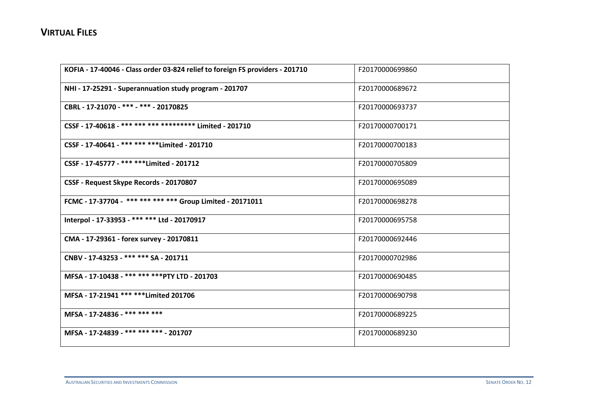| KOFIA - 17-40046 - Class order 03-824 relief to foreign FS providers - 201710 | F20170000699860 |
|-------------------------------------------------------------------------------|-----------------|
| NHI - 17-25291 - Superannuation study program - 201707                        | F20170000689672 |
| CBRL - 17-21070 - *** - *** - 20170825                                        | F20170000693737 |
| CSSF - 17-40618 - *** *** *** ********** Limited - 201710                     | F20170000700171 |
| CSSF - 17-40641 - *** *** *** Limited - 201710                                | F20170000700183 |
| CSSF - 17-45777 - *** **** Limited - 201712                                   | F20170000705809 |
| CSSF - Request Skype Records - 20170807                                       | F20170000695089 |
| FCMC - 17-37704 - *** *** *** *** Group Limited - 20171011                    | F20170000698278 |
| Interpol - 17-33953 - *** *** Ltd - 20170917                                  | F20170000695758 |
| CMA - 17-29361 - forex survey - 20170811                                      | F20170000692446 |
| CNBV - 17-43253 - *** *** SA - 201711                                         | F20170000702986 |
| MFSA - 17-10438 - *** *** *** PTY LTD - 201703                                | F20170000690485 |
| MFSA - 17-21941 *** *** Limited 201706                                        | F20170000690798 |
| MFSA - 17-24836 - *** *** ***                                                 | F20170000689225 |
| MFSA - 17-24839 - *** *** *** - 201707                                        | F20170000689230 |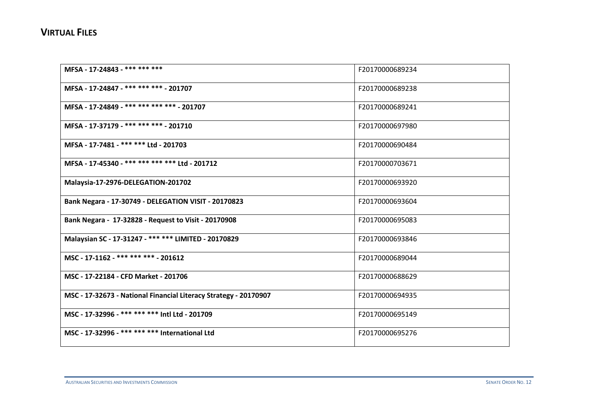| MFSA - 17-24843 - *** *** ***                                    | F20170000689234 |
|------------------------------------------------------------------|-----------------|
| MFSA - 17-24847 - *** *** *** - 201707                           | F20170000689238 |
| MFSA - 17-24849 - *** *** *** *** - 201707                       | F20170000689241 |
| MFSA - 17-37179 - *** *** *** - 201710                           | F20170000697980 |
| MFSA - 17-7481 - *** *** Ltd - 201703                            | F20170000690484 |
| MFSA - 17-45340 - *** *** *** *** Ltd - 201712                   | F20170000703671 |
| Malaysia-17-2976-DELEGATION-201702                               | F20170000693920 |
| Bank Negara - 17-30749 - DELEGATION VISIT - 20170823             | F20170000693604 |
| Bank Negara - 17-32828 - Request to Visit - 20170908             | F20170000695083 |
| Malaysian SC - 17-31247 - *** *** LIMITED - 20170829             | F20170000693846 |
| MSC - 17-1162 - *** *** *** - 201612                             | F20170000689044 |
| MSC - 17-22184 - CFD Market - 201706                             | F20170000688629 |
| MSC - 17-32673 - National Financial Literacy Strategy - 20170907 | F20170000694935 |
| MSC - 17-32996 - *** *** *** Intl Ltd - 201709                   | F20170000695149 |
| MSC - 17-32996 - *** *** *** International Ltd                   | F20170000695276 |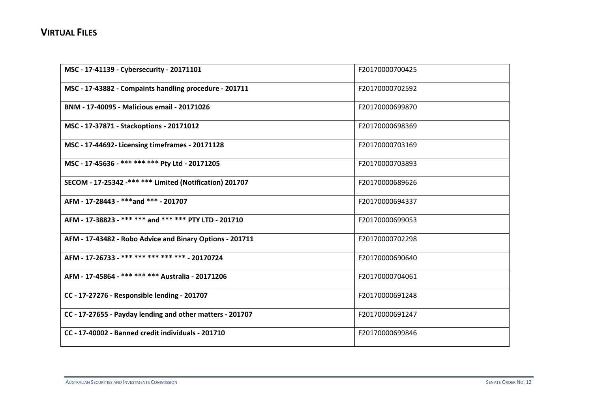| MSC - 17-41139 - Cybersecurity - 20171101                 | F20170000700425 |
|-----------------------------------------------------------|-----------------|
| MSC - 17-43882 - Compaints handling procedure - 201711    | F20170000702592 |
| BNM - 17-40095 - Malicious email - 20171026               | F20170000699870 |
| MSC - 17-37871 - Stackoptions - 20171012                  | F20170000698369 |
| MSC - 17-44692- Licensing timeframes - 20171128           | F20170000703169 |
| MSC - 17-45636 - *** *** *** Pty Ltd - 20171205           | F20170000703893 |
| SECOM - 17-25342 -*** *** Limited (Notification) 201707   | F20170000689626 |
| AFM - 17-28443 - ***and *** - 201707                      | F20170000694337 |
| AFM - 17-38823 - *** *** and *** *** PTY LTD - 201710     | F20170000699053 |
| AFM - 17-43482 - Robo Advice and Binary Options - 201711  | F20170000702298 |
| AFM - 17-26733 - *** *** *** *** *** - 20170724           | F20170000690640 |
| AFM - 17-45864 - *** *** *** Australia - 20171206         | F20170000704061 |
| CC - 17-27276 - Responsible lending - 201707              | F20170000691248 |
| CC - 17-27655 - Payday lending and other matters - 201707 | F20170000691247 |
| CC - 17-40002 - Banned credit individuals - 201710        | F20170000699846 |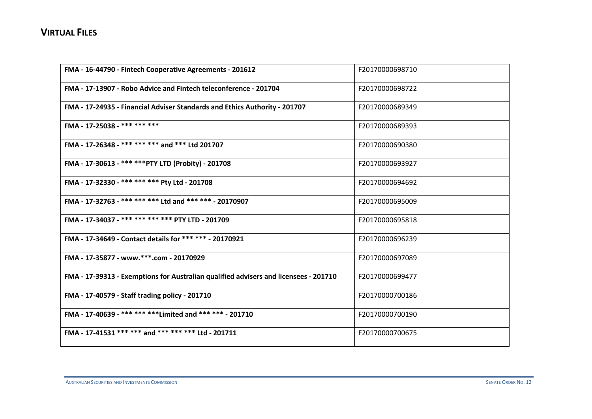| FMA - 16-44790 - Fintech Cooperative Agreements - 201612                             | F20170000698710 |
|--------------------------------------------------------------------------------------|-----------------|
| FMA - 17-13907 - Robo Advice and Fintech teleconference - 201704                     | F20170000698722 |
| FMA - 17-24935 - Financial Adviser Standards and Ethics Authority - 201707           | F20170000689349 |
| FMA - 17-25038 - *** *** ***                                                         | F20170000689393 |
| FMA - 17-26348 - *** *** *** and *** Ltd 201707                                      | F20170000690380 |
| FMA - 17-30613 - *** *** PTY LTD (Probity) - 201708                                  | F20170000693927 |
| FMA - 17-32330 - *** *** *** Pty Ltd - 201708                                        | F20170000694692 |
| FMA - 17-32763 - *** *** *** Ltd and *** *** - 20170907                              | F20170000695009 |
| FMA - 17-34037 - *** *** *** *** PTY LTD - 201709                                    | F20170000695818 |
| FMA - 17-34649 - Contact details for *** *** - 20170921                              | F20170000696239 |
| FMA - 17-35877 - www.***.com - 20170929                                              | F20170000697089 |
| FMA - 17-39313 - Exemptions for Australian qualified advisers and licensees - 201710 | F20170000699477 |
| FMA - 17-40579 - Staff trading policy - 201710                                       | F20170000700186 |
| FMA - 17-40639 - *** *** **** Limited and *** *** - 201710                           | F20170000700190 |
| FMA - 17-41531 *** *** and *** *** *** Ltd - 201711                                  | F20170000700675 |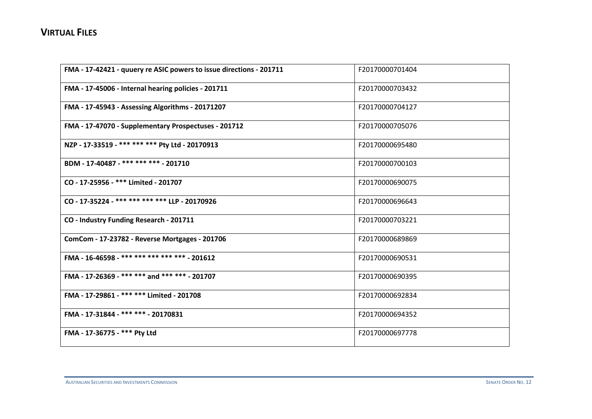| FMA - 17-42421 - quuery re ASIC powers to issue directions - 201711 | F20170000701404 |
|---------------------------------------------------------------------|-----------------|
| FMA - 17-45006 - Internal hearing policies - 201711                 | F20170000703432 |
| FMA - 17-45943 - Assessing Algorithms - 20171207                    | F20170000704127 |
| FMA - 17-47070 - Supplementary Prospectuses - 201712                | F20170000705076 |
| NZP - 17-33519 - *** *** *** Pty Ltd - 20170913                     | F20170000695480 |
| BDM - 17-40487 - *** *** *** - 201710                               | F20170000700103 |
| CO - 17-25956 - *** Limited - 201707                                | F20170000690075 |
| CO - 17-35224 - *** *** *** *** LLP - 20170926                      | F20170000696643 |
| CO - Industry Funding Research - 201711                             | F20170000703221 |
| ComCom - 17-23782 - Reverse Mortgages - 201706                      | F20170000689869 |
| FMA - 16-46598 - *** *** *** *** *** - 201612                       | F20170000690531 |
| FMA - 17-26369 - *** *** and *** *** - 201707                       | F20170000690395 |
| FMA - 17-29861 - *** *** Limited - 201708                           | F20170000692834 |
| FMA - 17-31844 - *** *** - 20170831                                 | F20170000694352 |
| FMA - 17-36775 - *** Pty Ltd                                        | F20170000697778 |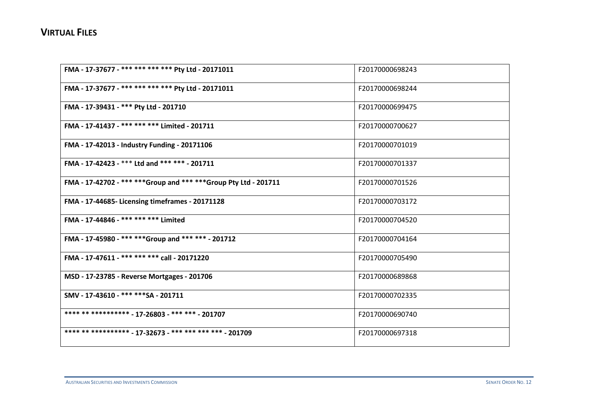| FMA - 17-37677 - *** *** *** *** Pty Ltd - 20171011               | F20170000698243 |
|-------------------------------------------------------------------|-----------------|
| FMA - 17-37677 - *** *** *** *** Pty Ltd - 20171011               | F20170000698244 |
| FMA - 17-39431 - *** Pty Ltd - 201710                             | F20170000699475 |
| FMA - 17-41437 - *** *** *** Limited - 201711                     | F20170000700627 |
| FMA - 17-42013 - Industry Funding - 20171106                      | F20170000701019 |
| FMA - 17-42423 - *** Ltd and *** *** - 201711                     | F20170000701337 |
| FMA - 17-42702 - *** *** Group and *** *** Group Pty Ltd - 201711 | F20170000701526 |
| FMA - 17-44685- Licensing timeframes - 20171128                   | F20170000703172 |
| FMA - 17-44846 - *** *** *** Limited                              | F20170000704520 |
| FMA - 17-45980 - *** **** Group and *** *** - 201712              | F20170000704164 |
| FMA - 17-47611 - *** *** *** call - 20171220                      | F20170000705490 |
| MSD - 17-23785 - Reverse Mortgages - 201706                       | F20170000689868 |
| SMV - 17-43610 - *** *** SA - 201711                              | F20170000702335 |
| **** ** ********** - 17-26803 - *** *** - 201707                  | F20170000690740 |
| **** ** ********** - 17-32673 - *** *** *** *** - 201709          | F20170000697318 |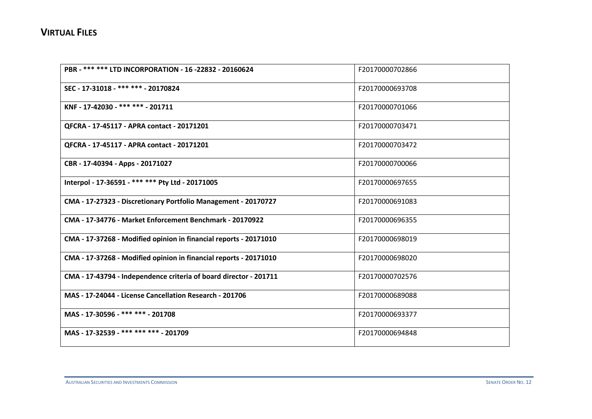| PBR - *** *** LTD INCORPORATION - 16 -22832 - 20160624            | F20170000702866 |
|-------------------------------------------------------------------|-----------------|
| SEC - 17-31018 - *** *** - 20170824                               | F20170000693708 |
| KNF - 17-42030 - *** *** - 201711                                 | F20170000701066 |
| QFCRA - 17-45117 - APRA contact - 20171201                        | F20170000703471 |
| QFCRA - 17-45117 - APRA contact - 20171201                        | F20170000703472 |
| CBR - 17-40394 - Apps - 20171027                                  | F20170000700066 |
| Interpol - 17-36591 - *** *** Pty Ltd - 20171005                  | F20170000697655 |
| CMA - 17-27323 - Discretionary Portfolio Management - 20170727    | F20170000691083 |
| CMA - 17-34776 - Market Enforcement Benchmark - 20170922          | F20170000696355 |
| CMA - 17-37268 - Modified opinion in financial reports - 20171010 | F20170000698019 |
| CMA - 17-37268 - Modified opinion in financial reports - 20171010 | F20170000698020 |
| CMA - 17-43794 - Independence criteria of board director - 201711 | F20170000702576 |
| MAS - 17-24044 - License Cancellation Research - 201706           | F20170000689088 |
| MAS - 17-30596 - *** *** - 201708                                 | F20170000693377 |
| MAS - 17-32539 - *** *** *** - 201709                             | F20170000694848 |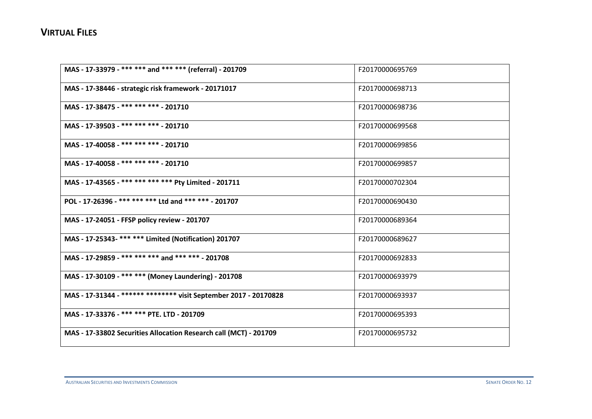| MAS - 17-33979 - *** *** and *** *** (referral) - 201709          | F20170000695769 |
|-------------------------------------------------------------------|-----------------|
| MAS - 17-38446 - strategic risk framework - 20171017              | F20170000698713 |
| MAS - 17-38475 - *** *** *** - 201710                             | F20170000698736 |
| MAS - 17-39503 - *** *** *** - 201710                             | F20170000699568 |
| MAS - 17-40058 - *** *** *** - 201710                             | F20170000699856 |
| MAS - 17-40058 - *** *** *** - 201710                             | F20170000699857 |
| MAS - 17-43565 - *** *** *** *** Pty Limited - 201711             | F20170000702304 |
| POL - 17-26396 - *** *** *** Ltd and *** *** - 201707             | F20170000690430 |
| MAS - 17-24051 - FFSP policy review - 201707                      | F20170000689364 |
| MAS - 17-25343- *** *** Limited (Notification) 201707             | F20170000689627 |
| MAS - 17-29859 - *** *** *** and *** *** - 201708                 | F20170000692833 |
| MAS - 17-30109 - *** *** (Money Laundering) - 201708              | F20170000693979 |
| MAS - 17-31344 - ****** ******** visit September 2017 - 20170828  | F20170000693937 |
| MAS - 17-33376 - *** *** PTE. LTD - 201709                        | F20170000695393 |
| MAS - 17-33802 Securities Allocation Research call (MCT) - 201709 | F20170000695732 |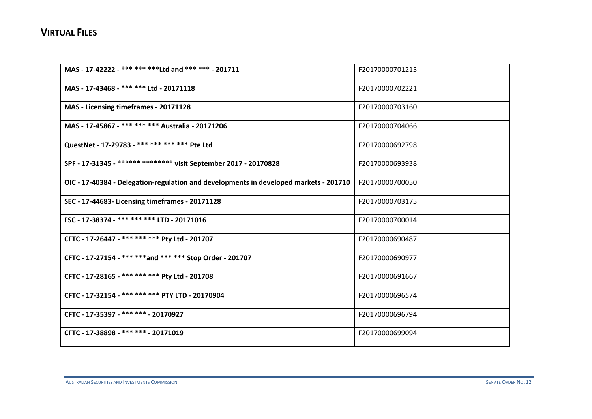| MAS - 17-42222 - *** *** **** Ltd and *** *** - 201711                                | F20170000701215 |
|---------------------------------------------------------------------------------------|-----------------|
| MAS - 17-43468 - *** *** Ltd - 20171118                                               | F20170000702221 |
| MAS - Licensing timeframes - 20171128                                                 | F20170000703160 |
| MAS - 17-45867 - *** *** *** Australia - 20171206                                     | F20170000704066 |
| QuestNet - 17-29783 - *** *** *** *** Pte Ltd                                         | F20170000692798 |
| SPF - 17-31345 - ****** ******** visit September 2017 - 20170828                      | F20170000693938 |
| OIC - 17-40384 - Delegation-regulation and developments in developed markets - 201710 | F20170000700050 |
| SEC - 17-44683- Licensing timeframes - 20171128                                       | F20170000703175 |
| FSC - 17-38374 - *** *** *** LTD - 20171016                                           | F20170000700014 |
| CFTC - 17-26447 - *** *** *** Pty Ltd - 201707                                        | F20170000690487 |
| CFTC - 17-27154 - *** *** and *** *** Stop Order - 201707                             | F20170000690977 |
| CFTC - 17-28165 - *** *** *** Pty Ltd - 201708                                        | F20170000691667 |
| CFTC - 17-32154 - *** *** *** PTY LTD - 20170904                                      | F20170000696574 |
| CFTC - 17-35397 - *** *** - 20170927                                                  | F20170000696794 |
| CFTC - 17-38898 - *** *** - 20171019                                                  | F20170000699094 |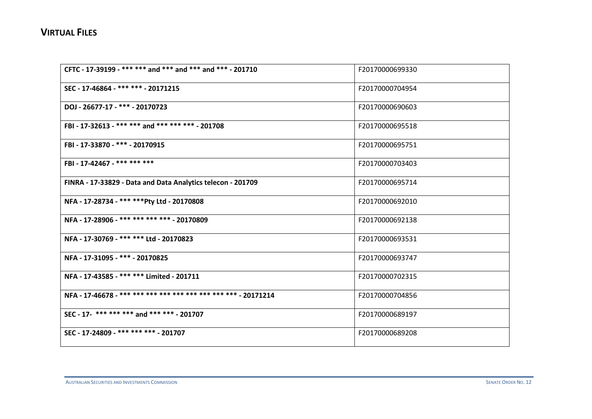| CFTC - 17-39199 - *** *** and *** and *** and *** - 201710  | F20170000699330 |
|-------------------------------------------------------------|-----------------|
| SEC - 17-46864 - *** *** - 20171215                         | F20170000704954 |
| DOJ - 26677-17 - *** - 20170723                             | F20170000690603 |
| FBI - 17-32613 - *** *** and *** *** *** - 201708           | F20170000695518 |
| FBI - 17-33870 - *** - 20170915                             | F20170000695751 |
| FBI - 17-42467 - *** *** ***                                | F20170000703403 |
| FINRA - 17-33829 - Data and Data Analytics telecon - 201709 | F20170000695714 |
| NFA - 17-28734 - *** *** Pty Ltd - 20170808                 | F20170000692010 |
| NFA - 17-28906 - *** *** *** *** - 20170809                 | F20170000692138 |
| NFA - 17-30769 - *** *** Ltd - 20170823                     | F20170000693531 |
| NFA - 17-31095 - *** - 20170825                             | F20170000693747 |
| NFA - 17-43585 - *** *** Limited - 201711                   | F20170000702315 |
|                                                             | F20170000704856 |
| SEC - 17- *** *** *** and *** *** - 201707                  | F20170000689197 |
| SEC - 17-24809 - *** *** *** - 201707                       | F20170000689208 |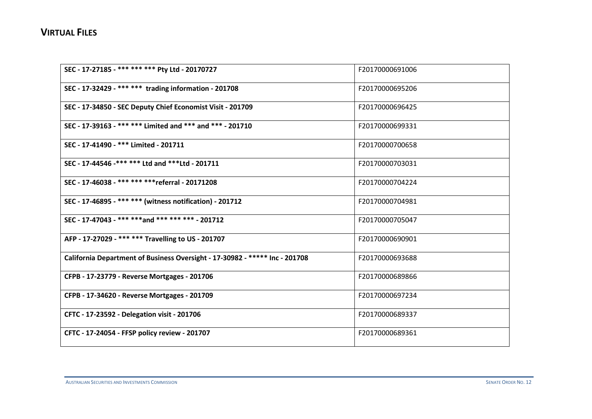| SEC - 17-27185 - *** *** *** Pty Ltd - 20170727                             | F20170000691006 |
|-----------------------------------------------------------------------------|-----------------|
| SEC - 17-32429 - *** *** trading information - 201708                       | F20170000695206 |
| SEC - 17-34850 - SEC Deputy Chief Economist Visit - 201709                  | F20170000696425 |
| SEC - 17-39163 - *** *** Limited and *** and *** - 201710                   | F20170000699331 |
| SEC - 17-41490 - *** Limited - 201711                                       | F20170000700658 |
| SEC - 17-44546 -*** *** Ltd and *** Ltd - 201711                            | F20170000703031 |
| SEC - 17-46038 - *** *** *** *referral - 20171208                           | F20170000704224 |
| SEC - 17-46895 - *** *** (witness notification) - 201712                    | F20170000704981 |
| SEC - 17-47043 - *** ***and *** *** *** - 201712                            | F20170000705047 |
| AFP - 17-27029 - *** *** Travelling to US - 201707                          | F20170000690901 |
| California Department of Business Oversight - 17-30982 - ***** Inc - 201708 | F20170000693688 |
| CFPB - 17-23779 - Reverse Mortgages - 201706                                | F20170000689866 |
| CFPB - 17-34620 - Reverse Mortgages - 201709                                | F20170000697234 |
| CFTC - 17-23592 - Delegation visit - 201706                                 | F20170000689337 |
| CFTC - 17-24054 - FFSP policy review - 201707                               | F20170000689361 |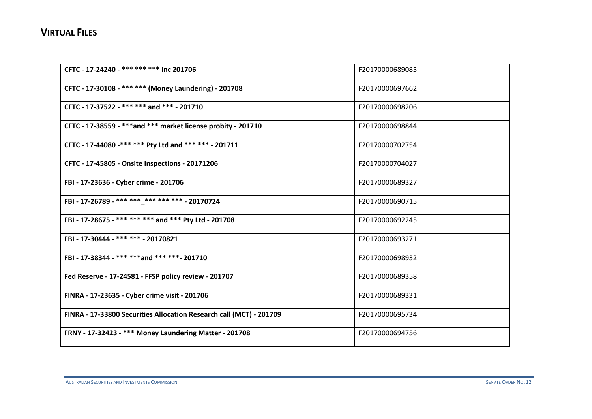| CFTC - 17-24240 - *** *** *** Inc 201706                            | F20170000689085 |
|---------------------------------------------------------------------|-----------------|
| CFTC - 17-30108 - *** *** (Money Laundering) - 201708               | F20170000697662 |
| CFTC - 17-37522 - *** *** and *** - 201710                          | F20170000698206 |
| CFTC - 17-38559 - *** and *** market license probity - 201710       | F20170000698844 |
| CFTC - 17-44080 -*** *** Pty Ltd and *** *** - 201711               | F20170000702754 |
| CFTC - 17-45805 - Onsite Inspections - 20171206                     | F20170000704027 |
| FBI - 17-23636 - Cyber crime - 201706                               | F20170000689327 |
| FBI - 17-26789 - *** *** *** *** *** * - 20170724                   | F20170000690715 |
| FBI - 17-28675 - *** *** *** and *** Pty Ltd - 201708               | F20170000692245 |
| FBI - 17-30444 - *** *** - 20170821                                 | F20170000693271 |
| FBI - 17-38344 - *** ***and *** ***- 201710                         | F20170000698932 |
| Fed Reserve - 17-24581 - FFSP policy review - 201707                | F20170000689358 |
| FINRA - 17-23635 - Cyber crime visit - 201706                       | F20170000689331 |
| FINRA - 17-33800 Securities Allocation Research call (MCT) - 201709 | F20170000695734 |
| FRNY - 17-32423 - *** Money Laundering Matter - 201708              | F20170000694756 |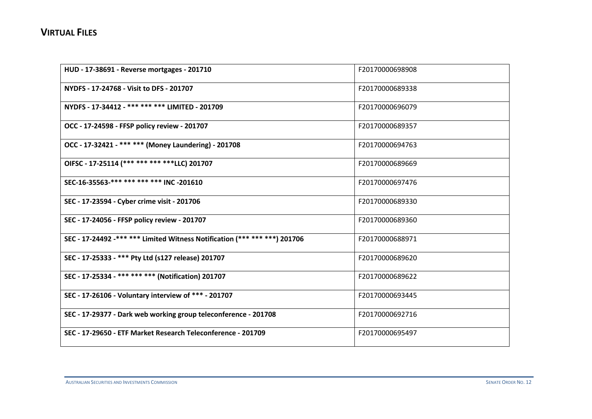| HUD - 17-38691 - Reverse mortgages - 201710                               | F20170000698908 |
|---------------------------------------------------------------------------|-----------------|
| NYDFS - 17-24768 - Visit to DFS - 201707                                  | F20170000689338 |
| NYDFS - 17-34412 - *** *** *** LIMITED - 201709                           | F20170000696079 |
| OCC - 17-24598 - FFSP policy review - 201707                              | F20170000689357 |
| OCC - 17-32421 - *** *** (Money Laundering) - 201708                      | F20170000694763 |
| OIFSC - 17-25114 (*** *** *** ****LLC) 201707                             | F20170000689669 |
| SEC-16-35563-*** *** *** *** INC-201610                                   | F20170000697476 |
| SEC - 17-23594 - Cyber crime visit - 201706                               | F20170000689330 |
| SEC - 17-24056 - FFSP policy review - 201707                              | F20170000689360 |
| SEC - 17-24492 -*** *** Limited Witness Notification (*** *** ***) 201706 | F20170000688971 |
| SEC - 17-25333 - *** Pty Ltd (s127 release) 201707                        | F20170000689620 |
| SEC - 17-25334 - *** *** *** (Notification) 201707                        | F20170000689622 |
| SEC - 17-26106 - Voluntary interview of *** - 201707                      | F20170000693445 |
| SEC - 17-29377 - Dark web working group teleconference - 201708           | F20170000692716 |
| SEC - 17-29650 - ETF Market Research Teleconference - 201709              | F20170000695497 |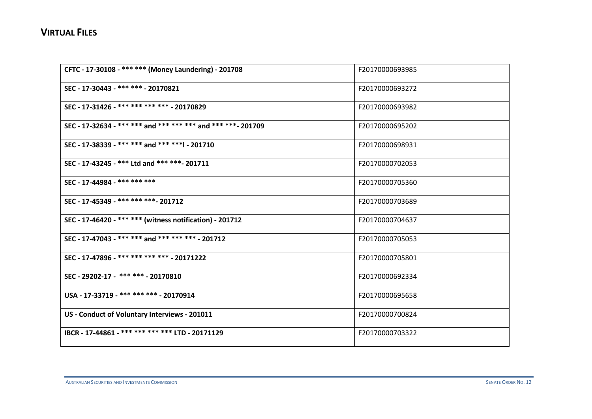| CFTC - 17-30108 - *** *** (Money Laundering) - 201708        | F20170000693985 |
|--------------------------------------------------------------|-----------------|
| SEC - 17-30443 - *** *** - 20170821                          | F20170000693272 |
| SEC - 17-31426 - *** *** *** *** - 20170829                  | F20170000693982 |
| SEC - 17-32634 - *** *** and *** *** *** and *** ***- 201709 | F20170000695202 |
| SEC - 17-38339 - *** *** and *** ***   - 201710              | F20170000698931 |
| SEC - 17-43245 - *** Ltd and *** ***- 201711                 | F20170000702053 |
| SEC - 17-44984 - *** *** ***                                 | F20170000705360 |
| SEC - 17-45349 - *** *** *** - 201712                        | F20170000703689 |
| SEC - 17-46420 - *** *** (witness notification) - 201712     | F20170000704637 |
| SEC - 17-47043 - *** *** and *** *** *** - 201712            | F20170000705053 |
| SEC - 17-47896 - *** *** *** *** - 20171222                  | F20170000705801 |
| SEC - 29202-17 - *** *** - 20170810                          | F20170000692334 |
| USA - 17-33719 - *** *** *** - 20170914                      | F20170000695658 |
| US - Conduct of Voluntary Interviews - 201011                | F20170000700824 |
| IBCR - 17-44861 - *** *** *** *** LTD - 20171129             | F20170000703322 |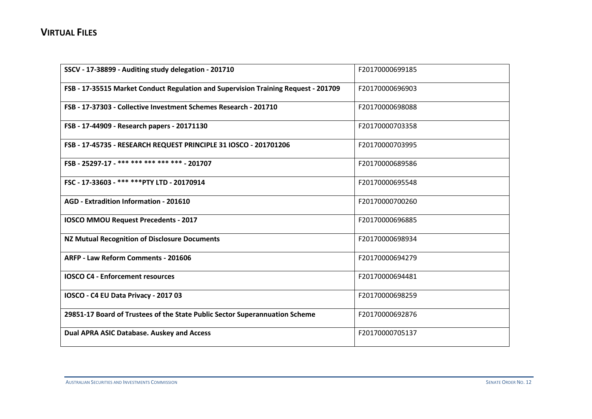| SSCV - 17-38899 - Auditing study delegation - 201710                               | F20170000699185 |
|------------------------------------------------------------------------------------|-----------------|
| FSB - 17-35515 Market Conduct Regulation and Supervision Training Request - 201709 | F20170000696903 |
| FSB - 17-37303 - Collective Investment Schemes Research - 201710                   | F20170000698088 |
| FSB - 17-44909 - Research papers - 20171130                                        | F20170000703358 |
| FSB - 17-45735 - RESEARCH REQUEST PRINCIPLE 31 IOSCO - 201701206                   | F20170000703995 |
| FSB - 25297-17 - *** *** *** *** *** - 201707                                      | F20170000689586 |
| FSC - 17-33603 - *** *** PTY LTD - 20170914                                        | F20170000695548 |
| AGD - Extradition Information - 201610                                             | F20170000700260 |
| <b>IOSCO MMOU Request Precedents - 2017</b>                                        | F20170000696885 |
| <b>NZ Mutual Recognition of Disclosure Documents</b>                               | F20170000698934 |
| ARFP - Law Reform Comments - 201606                                                | F20170000694279 |
| <b>IOSCO C4 - Enforcement resources</b>                                            | F20170000694481 |
| IOSCO - C4 EU Data Privacy - 2017 03                                               | F20170000698259 |
| 29851-17 Board of Trustees of the State Public Sector Superannuation Scheme        | F20170000692876 |
| Dual APRA ASIC Database. Auskey and Access                                         | F20170000705137 |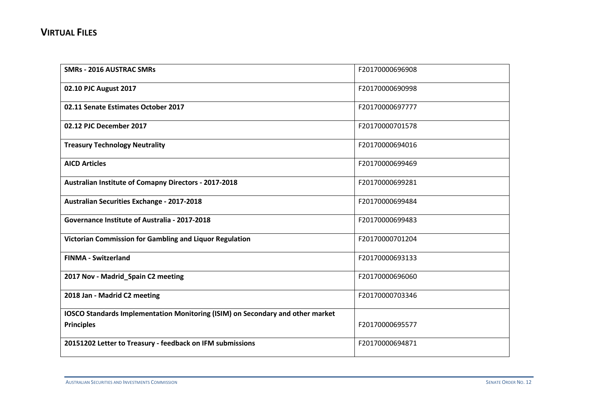| <b>SMRs - 2016 AUSTRAC SMRs</b>                                                       | F20170000696908 |
|---------------------------------------------------------------------------------------|-----------------|
| 02.10 PJC August 2017                                                                 | F20170000690998 |
| 02.11 Senate Estimates October 2017                                                   | F20170000697777 |
| 02.12 PJC December 2017                                                               | F20170000701578 |
| <b>Treasury Technology Neutrality</b>                                                 | F20170000694016 |
| <b>AICD Articles</b>                                                                  | F20170000699469 |
| Australian Institute of Comapny Directors - 2017-2018                                 | F20170000699281 |
| <b>Australian Securities Exchange - 2017-2018</b>                                     | F20170000699484 |
| Governance Institute of Australia - 2017-2018                                         | F20170000699483 |
| Victorian Commission for Gambling and Liquor Regulation                               | F20170000701204 |
| <b>FINMA - Switzerland</b>                                                            | F20170000693133 |
| 2017 Nov - Madrid_Spain C2 meeting                                                    | F20170000696060 |
| 2018 Jan - Madrid C2 meeting                                                          | F20170000703346 |
| <b>IOSCO Standards Implementation Monitoring (ISIM) on Secondary and other market</b> |                 |
| <b>Principles</b>                                                                     | F20170000695577 |
| 20151202 Letter to Treasury - feedback on IFM submissions                             | F20170000694871 |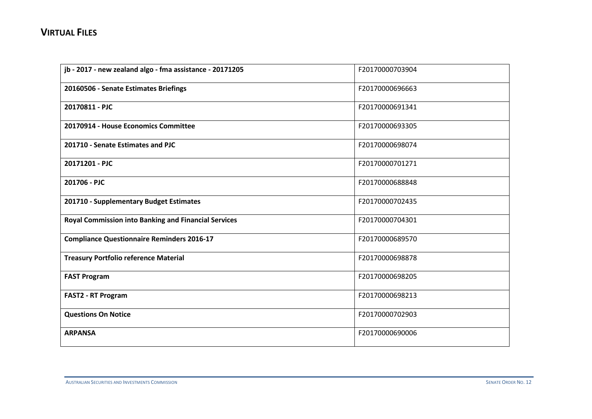| jb - 2017 - new zealand algo - fma assistance - 20171205    | F20170000703904 |
|-------------------------------------------------------------|-----------------|
| 20160506 - Senate Estimates Briefings                       | F20170000696663 |
| 20170811 - PJC                                              | F20170000691341 |
| 20170914 - House Economics Committee                        | F20170000693305 |
| 201710 - Senate Estimates and PJC                           | F20170000698074 |
| 20171201 - PJC                                              | F20170000701271 |
| 201706 - PJC                                                | F20170000688848 |
| 201710 - Supplementary Budget Estimates                     | F20170000702435 |
| <b>Royal Commission into Banking and Financial Services</b> | F20170000704301 |
| <b>Compliance Questionnaire Reminders 2016-17</b>           | F20170000689570 |
| <b>Treasury Portfolio reference Material</b>                | F20170000698878 |
| <b>FAST Program</b>                                         | F20170000698205 |
| <b>FAST2 - RT Program</b>                                   | F20170000698213 |
| <b>Questions On Notice</b>                                  | F20170000702903 |
| <b>ARPANSA</b>                                              | F20170000690006 |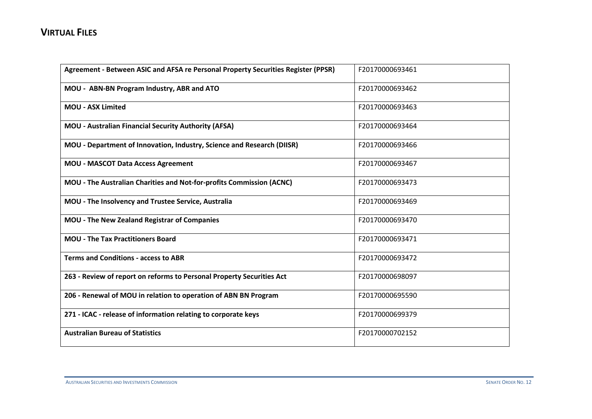| Agreement - Between ASIC and AFSA re Personal Property Securities Register (PPSR) | F20170000693461 |
|-----------------------------------------------------------------------------------|-----------------|
| MOU - ABN-BN Program Industry, ABR and ATO                                        | F20170000693462 |
| <b>MOU - ASX Limited</b>                                                          | F20170000693463 |
| <b>MOU - Australian Financial Security Authority (AFSA)</b>                       | F20170000693464 |
| MOU - Department of Innovation, Industry, Science and Research (DIISR)            | F20170000693466 |
| <b>MOU - MASCOT Data Access Agreement</b>                                         | F20170000693467 |
| MOU - The Australian Charities and Not-for-profits Commission (ACNC)              | F20170000693473 |
| MOU - The Insolvency and Trustee Service, Australia                               | F20170000693469 |
| <b>MOU - The New Zealand Registrar of Companies</b>                               | F20170000693470 |
| <b>MOU - The Tax Practitioners Board</b>                                          | F20170000693471 |
| <b>Terms and Conditions - access to ABR</b>                                       | F20170000693472 |
| 263 - Review of report on reforms to Personal Property Securities Act             | F20170000698097 |
| 206 - Renewal of MOU in relation to operation of ABN BN Program                   | F20170000695590 |
| 271 - ICAC - release of information relating to corporate keys                    | F20170000699379 |
| <b>Australian Bureau of Statistics</b>                                            | F20170000702152 |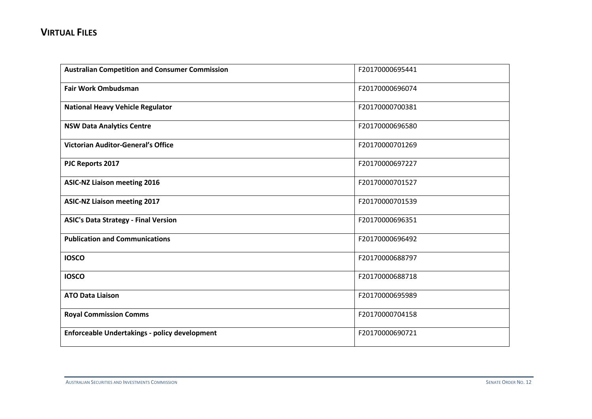| <b>Australian Competition and Consumer Commission</b> | F20170000695441 |
|-------------------------------------------------------|-----------------|
| <b>Fair Work Ombudsman</b>                            | F20170000696074 |
| <b>National Heavy Vehicle Regulator</b>               | F20170000700381 |
| <b>NSW Data Analytics Centre</b>                      | F20170000696580 |
| <b>Victorian Auditor-General's Office</b>             | F20170000701269 |
| PJC Reports 2017                                      | F20170000697227 |
| <b>ASIC-NZ Liaison meeting 2016</b>                   | F20170000701527 |
| <b>ASIC-NZ Liaison meeting 2017</b>                   | F20170000701539 |
| <b>ASIC's Data Strategy - Final Version</b>           | F20170000696351 |
| <b>Publication and Communications</b>                 | F20170000696492 |
| <b>IOSCO</b>                                          | F20170000688797 |
| <b>IOSCO</b>                                          | F20170000688718 |
| <b>ATO Data Liaison</b>                               | F20170000695989 |
| <b>Royal Commission Comms</b>                         | F20170000704158 |
| <b>Enforceable Undertakings - policy development</b>  | F20170000690721 |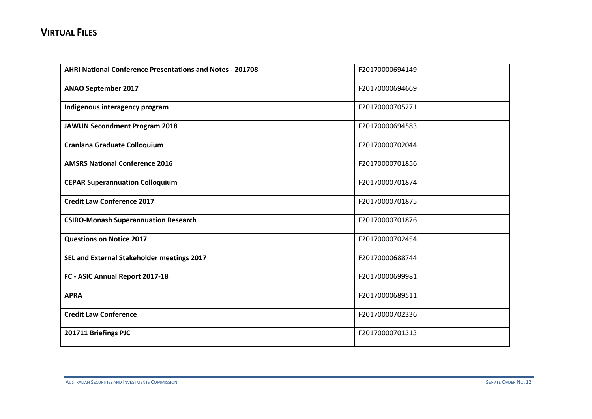| <b>AHRI National Conference Presentations and Notes - 201708</b> | F20170000694149 |
|------------------------------------------------------------------|-----------------|
| <b>ANAO September 2017</b>                                       | F20170000694669 |
| Indigenous interagency program                                   | F20170000705271 |
| <b>JAWUN Secondment Program 2018</b>                             | F20170000694583 |
| <b>Cranlana Graduate Colloquium</b>                              | F20170000702044 |
| <b>AMSRS National Conference 2016</b>                            | F20170000701856 |
| <b>CEPAR Superannuation Colloquium</b>                           | F20170000701874 |
| <b>Credit Law Conference 2017</b>                                | F20170000701875 |
| <b>CSIRO-Monash Superannuation Research</b>                      | F20170000701876 |
| <b>Questions on Notice 2017</b>                                  | F20170000702454 |
| SEL and External Stakeholder meetings 2017                       | F20170000688744 |
| FC - ASIC Annual Report 2017-18                                  | F20170000699981 |
| <b>APRA</b>                                                      | F20170000689511 |
| <b>Credit Law Conference</b>                                     | F20170000702336 |
| 201711 Briefings PJC                                             | F20170000701313 |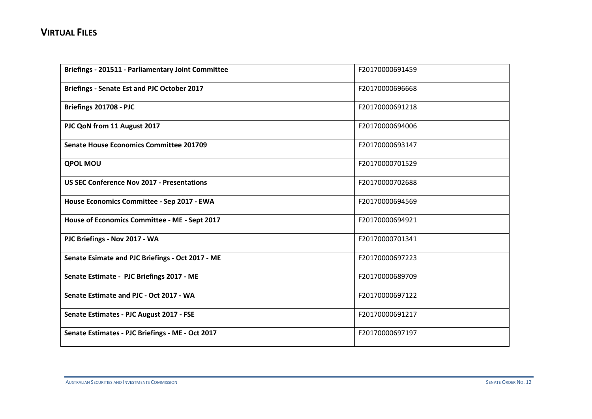| Briefings - 201511 - Parliamentary Joint Committee | F20170000691459 |
|----------------------------------------------------|-----------------|
| <b>Briefings - Senate Est and PJC October 2017</b> | F20170000696668 |
| Briefings 201708 - PJC                             | F20170000691218 |
| PJC QoN from 11 August 2017                        | F20170000694006 |
| <b>Senate House Economics Committee 201709</b>     | F20170000693147 |
| <b>QPOL MOU</b>                                    | F20170000701529 |
| <b>US SEC Conference Nov 2017 - Presentations</b>  | F20170000702688 |
| House Economics Committee - Sep 2017 - EWA         | F20170000694569 |
| House of Economics Committee - ME - Sept 2017      | F20170000694921 |
| PJC Briefings - Nov 2017 - WA                      | F20170000701341 |
| Senate Esimate and PJC Briefings - Oct 2017 - ME   | F20170000697223 |
| Senate Estimate - PJC Briefings 2017 - ME          | F20170000689709 |
| Senate Estimate and PJC - Oct 2017 - WA            | F20170000697122 |
| Senate Estimates - PJC August 2017 - FSE           | F20170000691217 |
| Senate Estimates - PJC Briefings - ME - Oct 2017   | F20170000697197 |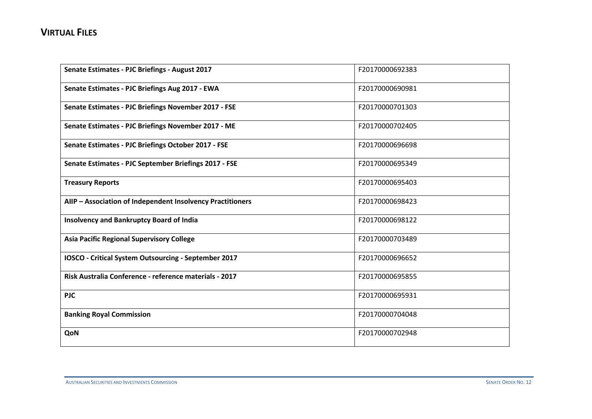| Senate Estimates - PJC Briefings - August 2017             | F20170000692383 |
|------------------------------------------------------------|-----------------|
| Senate Estimates - PJC Briefings Aug 2017 - EWA            | F20170000690981 |
| Senate Estimates - PJC Briefings November 2017 - FSE       | F20170000701303 |
| Senate Estimates - PJC Briefings November 2017 - ME        | F20170000702405 |
| Senate Estimates - PJC Briefings October 2017 - FSE        | F20170000696698 |
| Senate Estimates - PJC September Briefings 2017 - FSE      | F20170000695349 |
| <b>Treasury Reports</b>                                    | F20170000695403 |
| AIIP - Association of Independent Insolvency Practitioners | F20170000698423 |
| <b>Insolvency and Bankruptcy Board of India</b>            | F20170000698122 |
| <b>Asia Pacific Regional Supervisory College</b>           | F20170000703489 |
| IOSCO - Critical System Outsourcing - September 2017       | F20170000696652 |
| Risk Australia Conference - reference materials - 2017     | F20170000695855 |
| <b>PJC</b>                                                 | F20170000695931 |
| <b>Banking Royal Commission</b>                            | F20170000704048 |
| QoN                                                        | F20170000702948 |